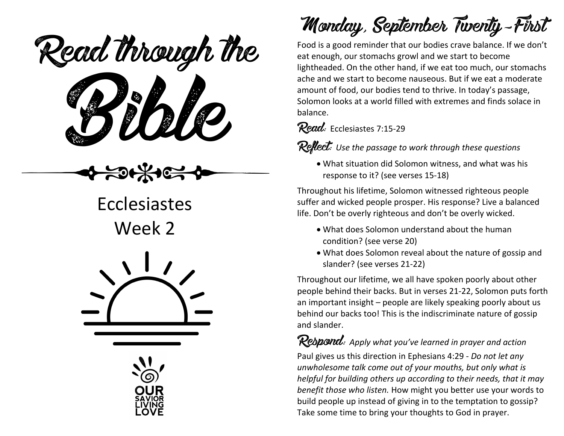Read through the



Ecclesiastes Week 2





Monday, September Twenty-First

Food is a good reminder that our bodies crave balance. If we don't eat enough, our stomachs growl and we start to become lightheaded. On the other hand, if we eat too much, our stomachs ache and we start to become nauseous. But if we eat a moderate amount of food, our bodies tend to thrive. In today's passage, Solomon looks at a world filled with extremes and finds solace in balance.

#### Read: Ecclesiastes 7:15-29

Reflect: *Use the passage to work through these questions*

• What situation did Solomon witness, and what was his response to it? (see verses 15-18)

Throughout his lifetime, Solomon witnessed righteous people suffer and wicked people prosper. His response? Live a balanced life. Don't be overly righteous and don't be overly wicked.

- What does Solomon understand about the human condition? (see verse 20)
- What does Solomon reveal about the nature of gossip and slander? (see verses 21-22)

Throughout our lifetime, we all have spoken poorly about other people behind their backs. But in verses 21-22, Solomon puts forth an important insight – people are likely speaking poorly about us behind our backs too! This is the indiscriminate nature of gossip and slander.

Respond: *Apply what you've learned in prayer and action* Paul gives us this direction in Ephesians 4:29 - *Do not let any unwholesome talk come out of your mouths, but only what is helpful for building others up according to their needs, that it may benefit those who listen.* How might you better use your words to build people up instead of giving in to the temptation to gossip? Take some time to bring your thoughts to God in prayer.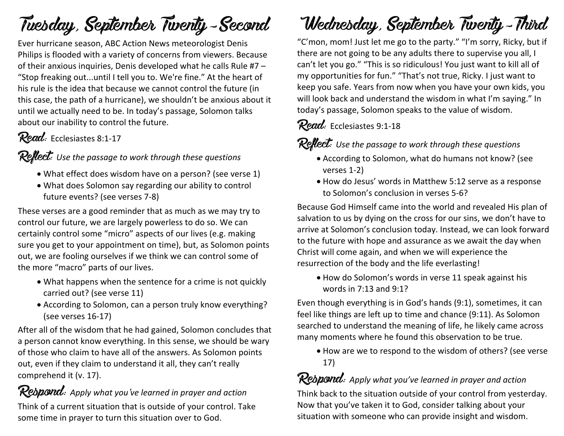## Tuesday, September Twenty-Second

Ever hurricane season, ABC Action News meteorologist Denis Philips is flooded with a variety of concerns from viewers. Because of their anxious inquiries, Denis developed what he calls Rule #7 – "Stop freaking out...until I tell you to. We're fine." At the heart of his rule is the idea that because we cannot control the future (in this case, the path of a hurricane), we shouldn't be anxious about it until we actually need to be. In today's passage, Solomon talks about our inability to control the future.

### Read: Ecclesiastes 8:1-17

#### Reflect: Use the passage to work through these questions

- What effect does wisdom have on a person? (see verse 1)
- What does Solomon say regarding our ability to control future events? (see verses 7-8)

These verses are a good reminder that as much as we may try to control our future, we are largely powerless to do so. We can certainly control some "micro" aspects of our lives (e.g. making sure you get to your appointment on time), but, as Solomon points out, we are fooling ourselves if we think we can control some of the more "macro" parts of our lives.

- What happens when the sentence for a crime is not quickly carried out? (see verse 11)
- According to Solomon, can a person truly know everything? (see verses 16-17)

After all of the wisdom that he had gained, Solomon concludes that a person cannot know everything. In this sense, we should be wary of those who claim to have all of the answers. As Solomon points out, even if they claim to understand it all, they can't really comprehend it (v. 17).

Respond: *Apply what you've learned in prayer and action* Think of a current situation that is outside of your control. Take some time in prayer to turn this situation over to God.

## Wednesday, September Twenty-Third

"C'mon, mom! Just let me go to the party." "I'm sorry, Ricky, but if there are not going to be any adults there to supervise you all, I can't let you go." "This is so ridiculous! You just want to kill all of my opportunities for fun." "That's not true, Ricky. I just want to keep you safe. Years from now when you have your own kids, you will look back and understand the wisdom in what I'm saying." In today's passage, Solomon speaks to the value of wisdom.

### Read: Ecclesiastes 9:1-18

Reflect: *Use the passage to work through these questions*

- According to Solomon, what do humans not know? (see verses 1-2)
- How do Jesus' words in Matthew 5:12 serve as a response to Solomon's conclusion in verses 5-6?

Because God Himself came into the world and revealed His plan of salvation to us by dying on the cross for our sins, we don't have to arrive at Solomon's conclusion today. Instead, we can look forward to the future with hope and assurance as we await the day when Christ will come again, and when we will experience the resurrection of the body and the life everlasting!

• How do Solomon's words in verse 11 speak against his words in 7:13 and 9:1?

Even though everything is in God's hands (9:1), sometimes, it can feel like things are left up to time and chance (9:11). As Solomon searched to understand the meaning of life, he likely came across many moments where he found this observation to be true.

• How are we to respond to the wisdom of others? (see verse 17)

Respond: *Apply what you've learned in prayer and action* Think back to the situation outside of your control from yesterday. Now that you've taken it to God, consider talking about your situation with someone who can provide insight and wisdom.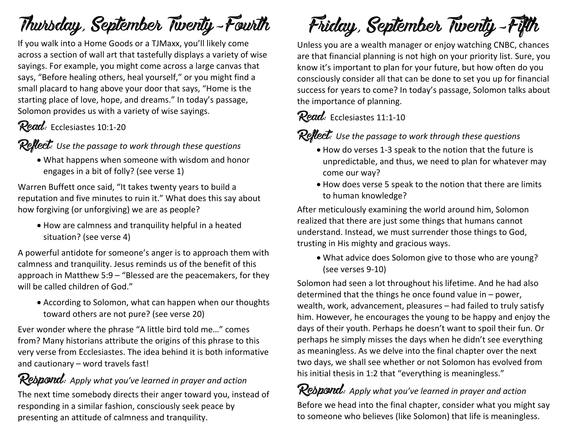## Thursday, September Twenty-Fourth

If you walk into a Home Goods or a TJMaxx, you'll likely come across a section of wall art that tastefully displays a variety of wise sayings. For example, you might come across a large canvas that says, "Before healing others, heal yourself," or you might find a small placard to hang above your door that says, "Home is the starting place of love, hope, and dreams." In today's passage, Solomon provides us with a variety of wise sayings.

## Read: Ecclesiastes 10:1-20

#### Reflect: *Use the passage to work through these questions*

• What happens when someone with wisdom and honor engages in a bit of folly? (see verse 1)

Warren Buffett once said, "It takes twenty years to build a reputation and five minutes to ruin it." What does this say about how forgiving (or unforgiving) we are as people?

• How are calmness and tranquility helpful in a heated situation? (see verse 4)

A powerful antidote for someone's anger is to approach them with calmness and tranquility. Jesus reminds us of the benefit of this approach in Matthew 5:9 – "Blessed are the peacemakers, for they will be called children of God."

• According to Solomon, what can happen when our thoughts toward others are not pure? (see verse 20)

Ever wonder where the phrase "A little bird told me…" comes from? Many historians attribute the origins of this phrase to this very verse from Ecclesiastes. The idea behind it is both informative and cautionary – word travels fast!

**Respond:** Apply what you've learned in prayer and action The next time somebody directs their anger toward you, instead of responding in a similar fashion, consciously seek peace by presenting an attitude of calmness and tranquility.

Friday, September Twenty-Fifth

Unless you are a wealth manager or enjoy watching CNBC, chances are that financial planning is not high on your priority list. Sure, you know it's important to plan for your future, but how often do you consciously consider all that can be done to set you up for financial success for years to come? In today's passage, Solomon talks about the importance of planning.

### Read: Ecclesiastes 11:1-10

Reflect: *Use the passage to work through these questions*

- How do verses 1-3 speak to the notion that the future is unpredictable, and thus, we need to plan for whatever may come our way?
- How does verse 5 speak to the notion that there are limits to human knowledge?

After meticulously examining the world around him, Solomon realized that there are just some things that humans cannot understand. Instead, we must surrender those things to God, trusting in His mighty and gracious ways.

• What advice does Solomon give to those who are young? (see verses 9-10)

Solomon had seen a lot throughout his lifetime. And he had also determined that the things he once found value in – power, wealth, work, advancement, pleasures – had failed to truly satisfy him. However, he encourages the young to be happy and enjoy the days of their youth. Perhaps he doesn't want to spoil their fun. Or perhaps he simply misses the days when he didn't see everything as meaningless. As we delve into the final chapter over the next two days, we shall see whether or not Solomon has evolved from his initial thesis in 1:2 that "everything is meaningless."

Respond: *Apply what you've learned in prayer and action* Before we head into the final chapter, consider what you might say to someone who believes (like Solomon) that life is meaningless.